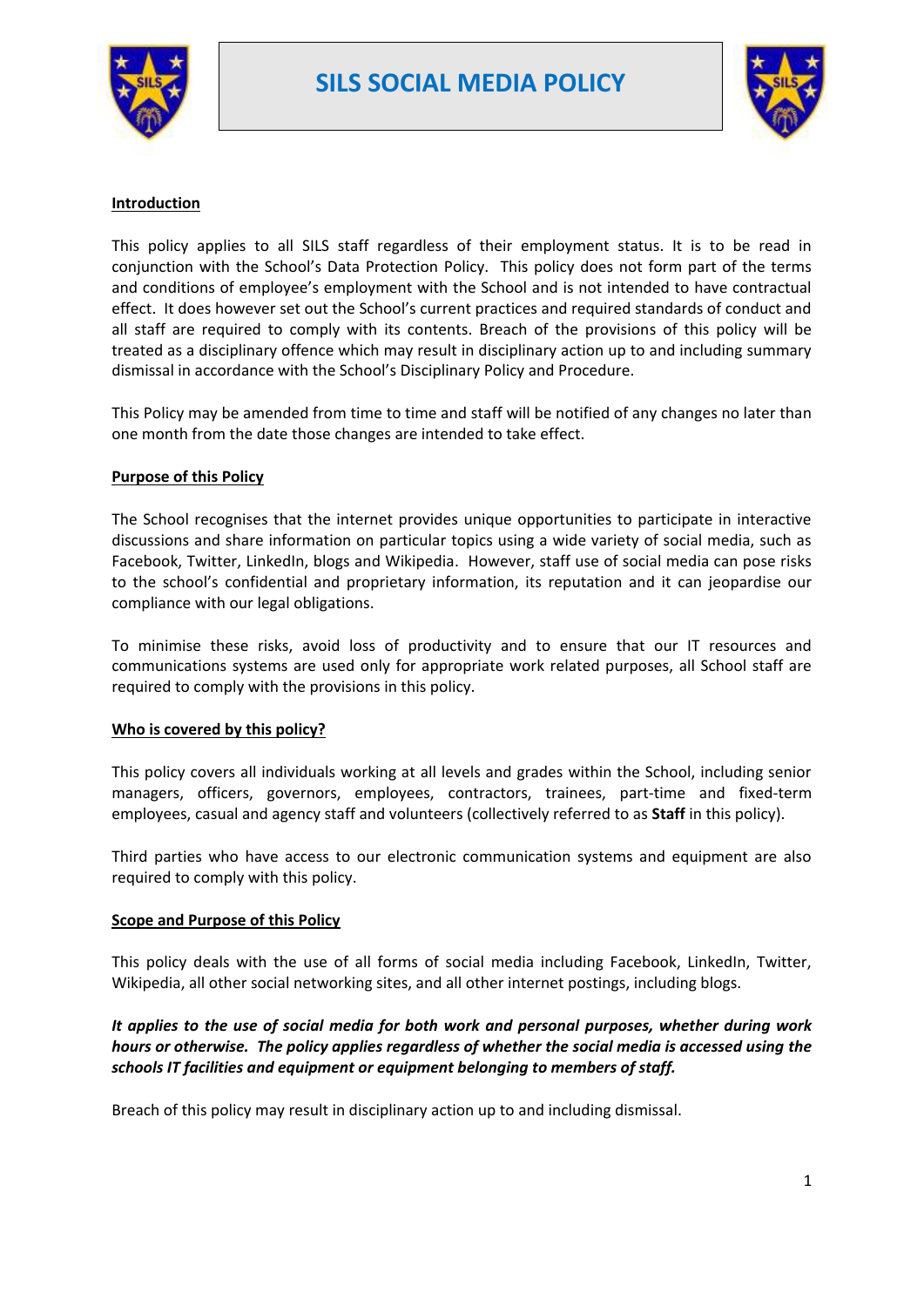



### **Introduction**

This policy applies to all SILS staff regardless of their employment status. It is to be read in conjunction with the School's Data Protection Policy. This policy does not form part of the terms and conditions of employee's employment with the School and is not intended to have contractual effect. It does however set out the School's current practices and required standards of conduct and all staff are required to comply with its contents. Breach of the provisions of this policy will be treated as a disciplinary offence which may result in disciplinary action up to and including summary dismissal in accordance with the School's Disciplinary Policy and Procedure.

This Policy may be amended from time to time and staff will be notified of any changes no later than one month from the date those changes are intended to take effect.

### **Purpose of this Policy**

The School recognises that the internet provides unique opportunities to participate in interactive discussions and share information on particular topics using a wide variety of social media, such as Facebook, Twitter, LinkedIn, blogs and Wikipedia. However, staff use of social media can pose risks to the school's confidential and proprietary information, its reputation and it can jeopardise our compliance with our legal obligations.

To minimise these risks, avoid loss of productivity and to ensure that our IT resources and communications systems are used only for appropriate work related purposes, all School staff are required to comply with the provisions in this policy.

#### **Who is covered by this policy?**

This policy covers all individuals working at all levels and grades within the School, including senior managers, officers, governors, employees, contractors, trainees, part-time and fixed-term employees, casual and agency staff and volunteers (collectively referred to as **Staff** in this policy).

Third parties who have access to our electronic communication systems and equipment are also required to comply with this policy.

### **Scope and Purpose of this Policy**

This policy deals with the use of all forms of social media including Facebook, LinkedIn, Twitter, Wikipedia, all other social networking sites, and all other internet postings, including blogs.

# *It applies to the use of social media for both work and personal purposes, whether during work hours or otherwise. The policy applies regardless of whether the social media is accessed using the schools IT facilities and equipment or equipment belonging to members of staff.*

Breach of this policy may result in disciplinary action up to and including dismissal.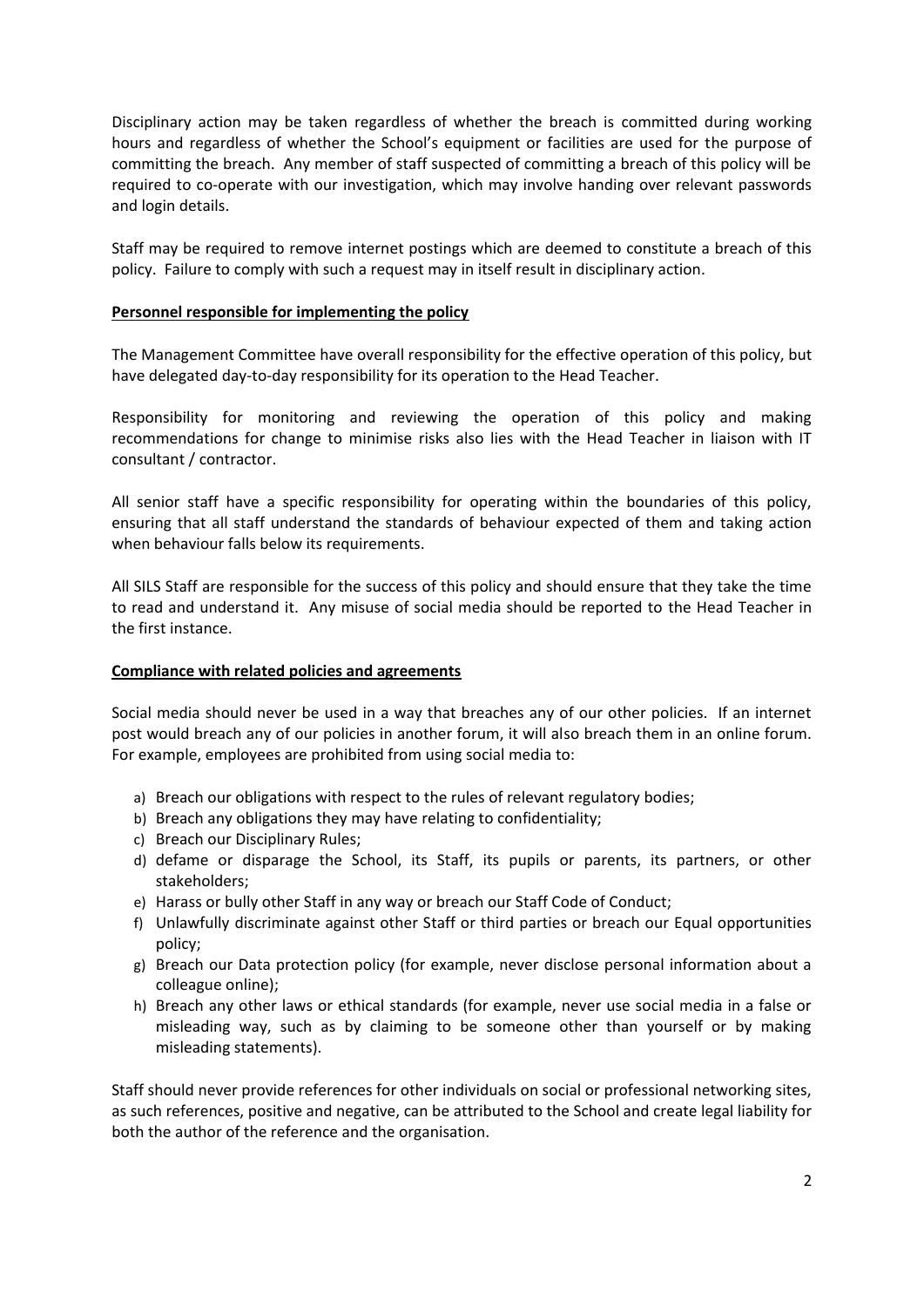Disciplinary action may be taken regardless of whether the breach is committed during working hours and regardless of whether the School's equipment or facilities are used for the purpose of committing the breach. Any member of staff suspected of committing a breach of this policy will be required to co-operate with our investigation, which may involve handing over relevant passwords and login details.

Staff may be required to remove internet postings which are deemed to constitute a breach of this policy. Failure to comply with such a request may in itself result in disciplinary action.

### **Personnel responsible for implementing the policy**

The Management Committee have overall responsibility for the effective operation of this policy, but have delegated day-to-day responsibility for its operation to the Head Teacher.

Responsibility for monitoring and reviewing the operation of this policy and making recommendations for change to minimise risks also lies with the Head Teacher in liaison with IT consultant / contractor.

All senior staff have a specific responsibility for operating within the boundaries of this policy, ensuring that all staff understand the standards of behaviour expected of them and taking action when behaviour falls below its requirements.

All SILS Staff are responsible for the success of this policy and should ensure that they take the time to read and understand it. Any misuse of social media should be reported to the Head Teacher in the first instance.

### **Compliance with related policies and agreements**

Social media should never be used in a way that breaches any of our other policies. If an internet post would breach any of our policies in another forum, it will also breach them in an online forum. For example, employees are prohibited from using social media to:

- a) Breach our obligations with respect to the rules of relevant regulatory bodies;
- b) Breach any obligations they may have relating to confidentiality;
- c) Breach our Disciplinary Rules;
- d) defame or disparage the School, its Staff, its pupils or parents, its partners, or other stakeholders;
- e) Harass or bully other Staff in any way or breach our Staff Code of Conduct;
- f) Unlawfully discriminate against other Staff or third parties or breach our Equal opportunities policy;
- g) Breach our Data protection policy (for example, never disclose personal information about a colleague online);
- h) Breach any other laws or ethical standards (for example, never use social media in a false or misleading way, such as by claiming to be someone other than yourself or by making misleading statements).

Staff should never provide references for other individuals on social or professional networking sites, as such references, positive and negative, can be attributed to the School and create legal liability for both the author of the reference and the organisation.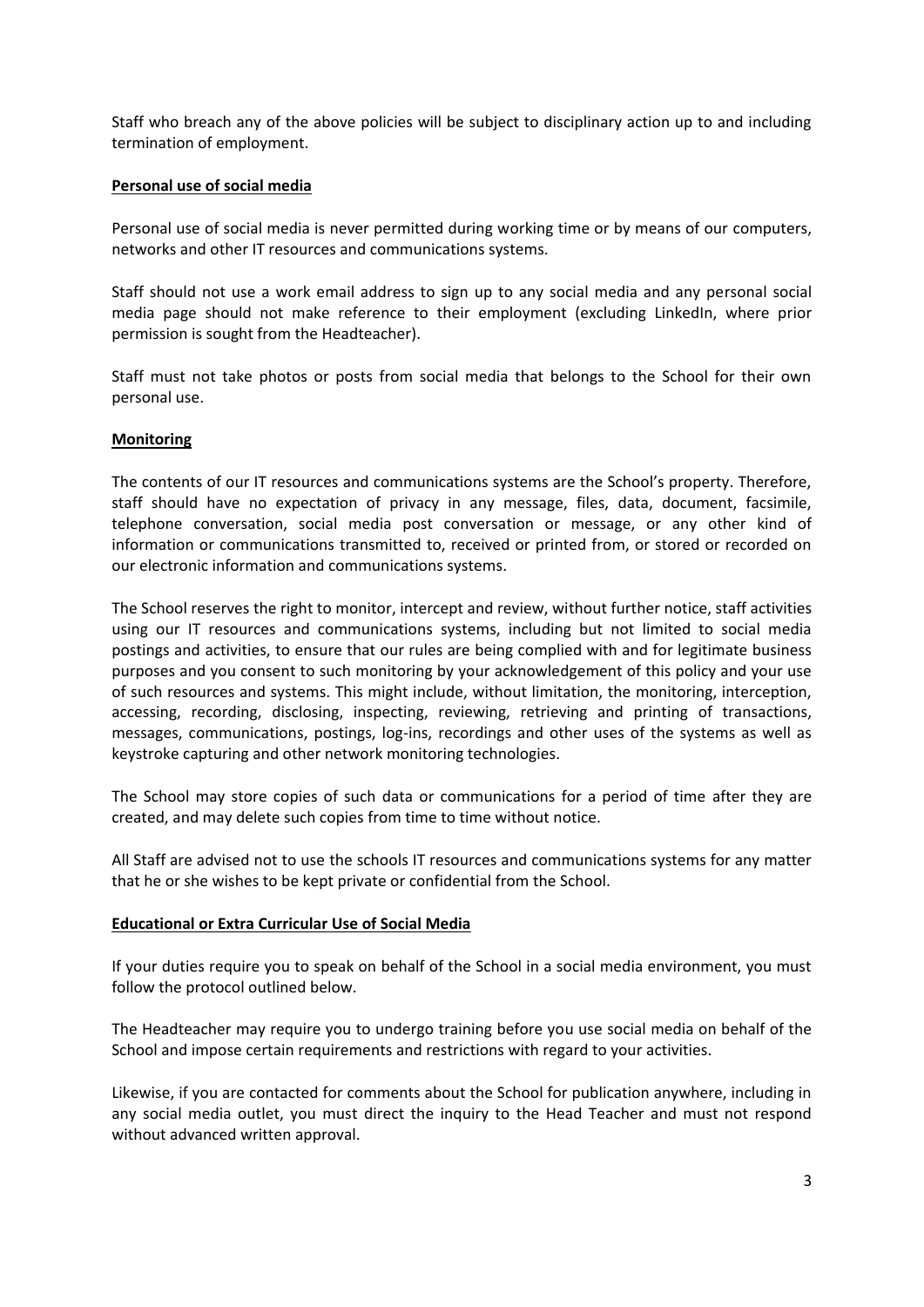Staff who breach any of the above policies will be subject to disciplinary action up to and including termination of employment.

### **Personal use of social media**

Personal use of social media is never permitted during working time or by means of our computers, networks and other IT resources and communications systems.

Staff should not use a work email address to sign up to any social media and any personal social media page should not make reference to their employment (excluding LinkedIn, where prior permission is sought from the Headteacher).

Staff must not take photos or posts from social media that belongs to the School for their own personal use.

## **Monitoring**

The contents of our IT resources and communications systems are the School's property. Therefore, staff should have no expectation of privacy in any message, files, data, document, facsimile, telephone conversation, social media post conversation or message, or any other kind of information or communications transmitted to, received or printed from, or stored or recorded on our electronic information and communications systems.

The School reserves the right to monitor, intercept and review, without further notice, staff activities using our IT resources and communications systems, including but not limited to social media postings and activities, to ensure that our rules are being complied with and for legitimate business purposes and you consent to such monitoring by your acknowledgement of this policy and your use of such resources and systems. This might include, without limitation, the monitoring, interception, accessing, recording, disclosing, inspecting, reviewing, retrieving and printing of transactions, messages, communications, postings, log-ins, recordings and other uses of the systems as well as keystroke capturing and other network monitoring technologies.

The School may store copies of such data or communications for a period of time after they are created, and may delete such copies from time to time without notice.

All Staff are advised not to use the schools IT resources and communications systems for any matter that he or she wishes to be kept private or confidential from the School.

### **Educational or Extra Curricular Use of Social Media**

If your duties require you to speak on behalf of the School in a social media environment, you must follow the protocol outlined below.

The Headteacher may require you to undergo training before you use social media on behalf of the School and impose certain requirements and restrictions with regard to your activities.

Likewise, if you are contacted for comments about the School for publication anywhere, including in any social media outlet, you must direct the inquiry to the Head Teacher and must not respond without advanced written approval.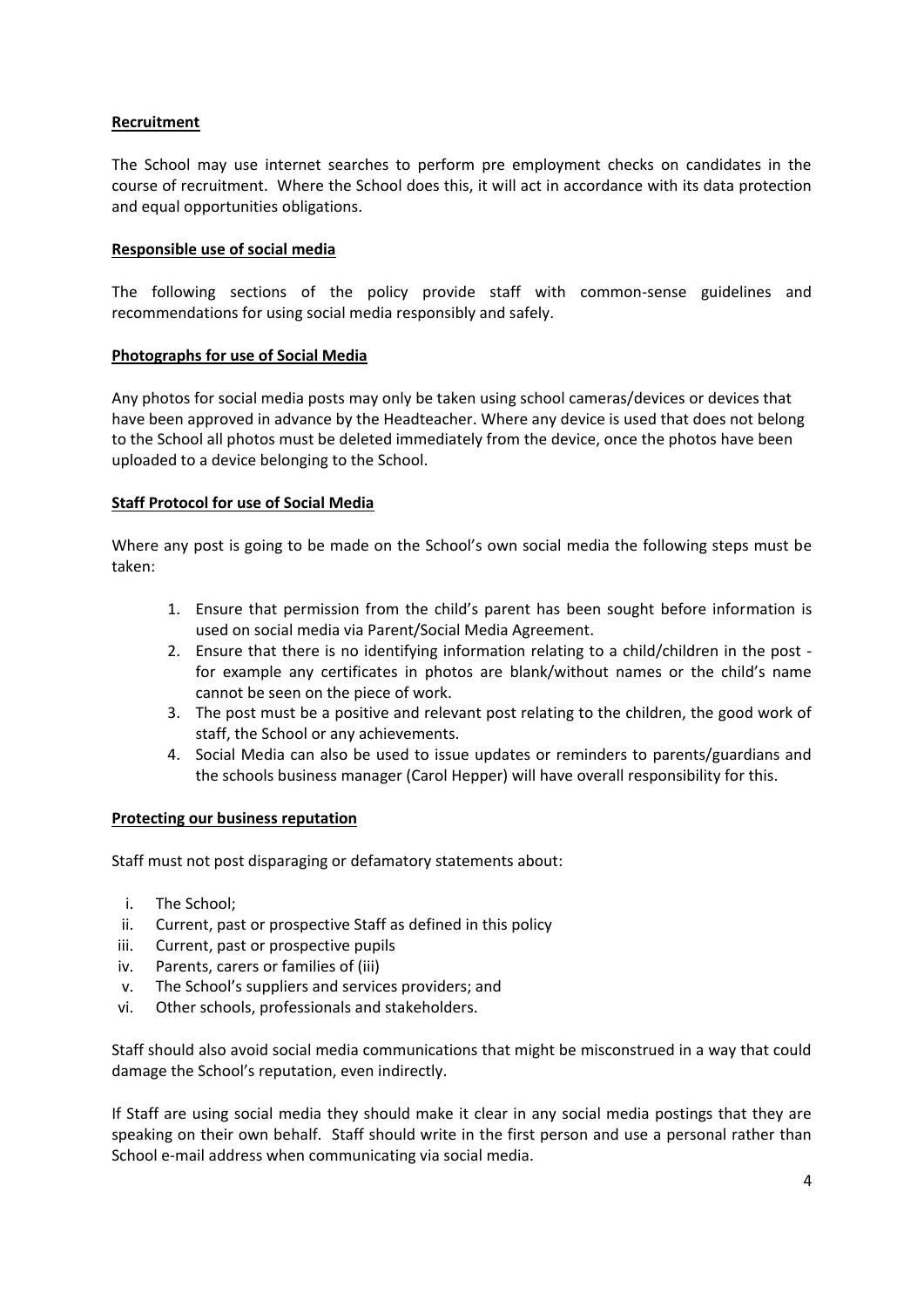## **Recruitment**

The School may use internet searches to perform pre employment checks on candidates in the course of recruitment. Where the School does this, it will act in accordance with its data protection and equal opportunities obligations.

### **Responsible use of social media**

The following sections of the policy provide staff with common-sense guidelines and recommendations for using social media responsibly and safely.

### **Photographs for use of Social Media**

Any photos for social media posts may only be taken using school cameras/devices or devices that have been approved in advance by the Headteacher. Where any device is used that does not belong to the School all photos must be deleted immediately from the device, once the photos have been uploaded to a device belonging to the School.

## **Staff Protocol for use of Social Media**

Where any post is going to be made on the School's own social media the following steps must be taken:

- 1. Ensure that permission from the child's parent has been sought before information is used on social media via Parent/Social Media Agreement.
- 2. Ensure that there is no identifying information relating to a child/children in the post for example any certificates in photos are blank/without names or the child's name cannot be seen on the piece of work.
- 3. The post must be a positive and relevant post relating to the children, the good work of staff, the School or any achievements.
- 4. Social Media can also be used to issue updates or reminders to parents/guardians and the schools business manager (Carol Hepper) will have overall responsibility for this.

### **Protecting our business reputation**

Staff must not post disparaging or defamatory statements about:

- i. The School;
- ii. Current, past or prospective Staff as defined in this policy
- iii. Current, past or prospective pupils
- iv. Parents, carers or families of (iii)
- v. The School's suppliers and services providers; and
- vi. Other schools, professionals and stakeholders.

Staff should also avoid social media communications that might be misconstrued in a way that could damage the School's reputation, even indirectly.

If Staff are using social media they should make it clear in any social media postings that they are speaking on their own behalf. Staff should write in the first person and use a personal rather than School e-mail address when communicating via social media.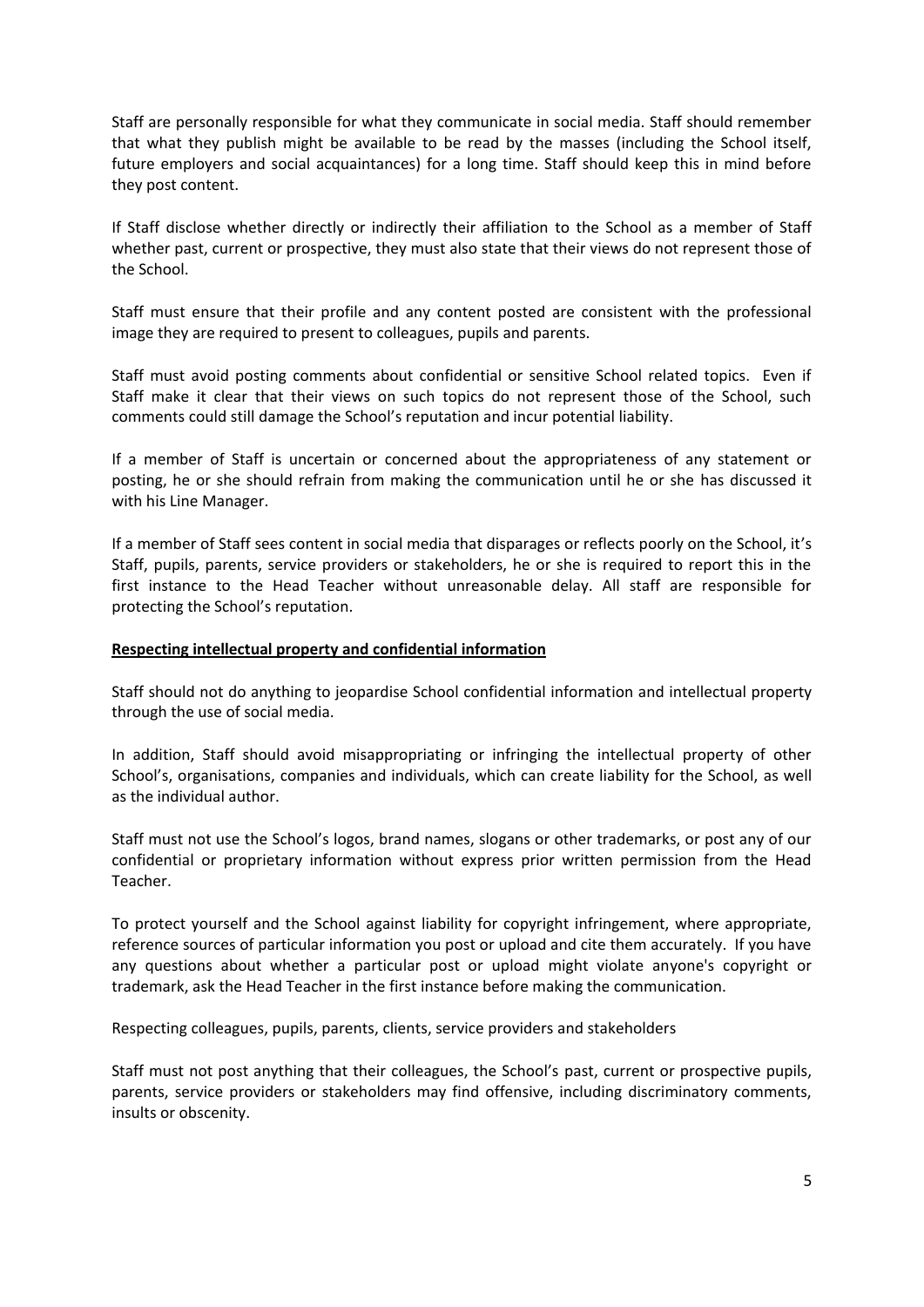Staff are personally responsible for what they communicate in social media. Staff should remember that what they publish might be available to be read by the masses (including the School itself, future employers and social acquaintances) for a long time. Staff should keep this in mind before they post content.

If Staff disclose whether directly or indirectly their affiliation to the School as a member of Staff whether past, current or prospective, they must also state that their views do not represent those of the School.

Staff must ensure that their profile and any content posted are consistent with the professional image they are required to present to colleagues, pupils and parents.

Staff must avoid posting comments about confidential or sensitive School related topics. Even if Staff make it clear that their views on such topics do not represent those of the School, such comments could still damage the School's reputation and incur potential liability.

If a member of Staff is uncertain or concerned about the appropriateness of any statement or posting, he or she should refrain from making the communication until he or she has discussed it with his Line Manager.

If a member of Staff sees content in social media that disparages or reflects poorly on the School, it's Staff, pupils, parents, service providers or stakeholders, he or she is required to report this in the first instance to the Head Teacher without unreasonable delay. All staff are responsible for protecting the School's reputation.

#### **Respecting intellectual property and confidential information**

Staff should not do anything to jeopardise School confidential information and intellectual property through the use of social media.

In addition, Staff should avoid misappropriating or infringing the intellectual property of other School's, organisations, companies and individuals, which can create liability for the School, as well as the individual author.

Staff must not use the School's logos, brand names, slogans or other trademarks, or post any of our confidential or proprietary information without express prior written permission from the Head Teacher.

To protect yourself and the School against liability for copyright infringement, where appropriate, reference sources of particular information you post or upload and cite them accurately. If you have any questions about whether a particular post or upload might violate anyone's copyright or trademark, ask the Head Teacher in the first instance before making the communication.

Respecting colleagues, pupils, parents, clients, service providers and stakeholders

Staff must not post anything that their colleagues, the School's past, current or prospective pupils, parents, service providers or stakeholders may find offensive, including discriminatory comments, insults or obscenity.